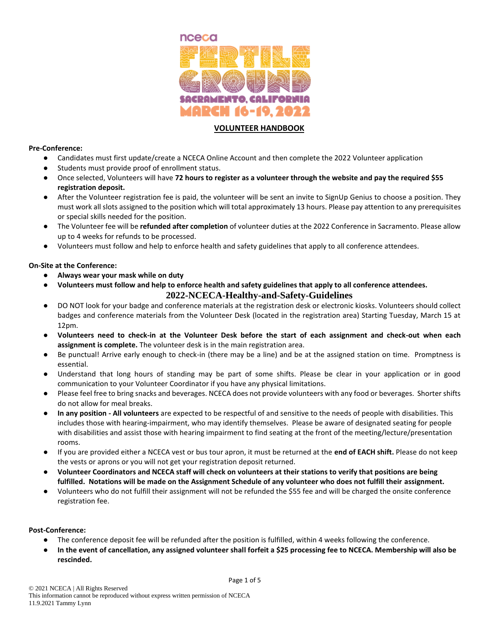

# **VOLUNTEER HANDBOOK**

#### **Pre-Conference:**

- Candidates must first update/create a NCECA Online Account and then complete the 2022 Volunteer application
- Students must provide proof of enrollment status.
- Once selected, Volunteers will have **72 hours to register as a volunteer through the website and pay the required \$55 registration deposit.**
- After the Volunteer registration fee is paid, the volunteer will be sent an invite to SignUp Genius to choose a position. They must work all slots assigned to the position which will total approximately 13 hours. Please pay attention to any prerequisites or special skills needed for the position.
- The Volunteer fee will be **refunded after completion** of volunteer duties at the 2022 Conference in Sacramento. Please allow up to 4 weeks for refunds to be processed.
- Volunteers must follow and help to enforce health and safety guidelines that apply to all conference attendees.

## **On-Site at the Conference:**

- **Always wear your mask while on duty**
- **Volunteers must follow and help to enforce health and safety guidelines that apply to all conference attendees. 2022-NCECA-Healthy-and-Safety-Guidelines**
- DO NOT look for your badge and conference materials at the registration desk or electronic kiosks. Volunteers should collect badges and conference materials from the Volunteer Desk (located in the registration area) Starting Tuesday, March 15 at 12pm.
- **Volunteers need to check-in at the Volunteer Desk before the start of each assignment and check-out when each assignment is complete.** The volunteer desk is in the main registration area.
- Be punctual! Arrive early enough to check-in (there may be a line) and be at the assigned station on time. Promptness is essential.
- Understand that long hours of standing may be part of some shifts. Please be clear in your application or in good communication to your Volunteer Coordinator if you have any physical limitations.
- Please feel free to bring snacks and beverages. NCECA does not provide volunteers with any food or beverages. Shorter shifts do not allow for meal breaks.
- **In any position - All volunteers** are expected to be respectful of and sensitive to the needs of people with disabilities. This includes those with hearing-impairment, who may identify themselves. Please be aware of designated seating for people with disabilities and assist those with hearing impairment to find seating at the front of the meeting/lecture/presentation rooms.
- If you are provided either a NCECA vest or bus tour apron, it must be returned at the **end of EACH shift.** Please do not keep the vests or aprons or you will not get your registration deposit returned.
- **Volunteer Coordinators and NCECA staff will check on volunteers at their stations to verify that positions are being fulfilled. Notations will be made on the Assignment Schedule of any volunteer who does not fulfill their assignment.**
- Volunteers who do not fulfill their assignment will not be refunded the \$55 fee and will be charged the onsite conference registration fee.

## **Post-Conference:**

- The conference deposit fee will be refunded after the position is fulfilled, within 4 weeks following the conference.
- **In the event of cancellation, any assigned volunteer shall forfeit a \$25 processing fee to NCECA. Membership will also be rescinded.**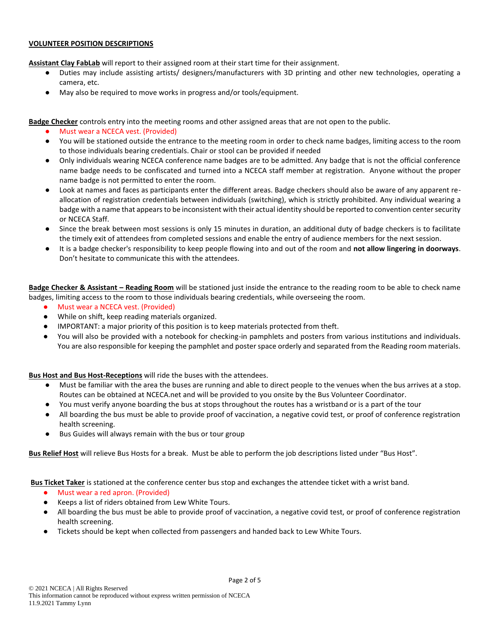#### **VOLUNTEER POSITION DESCRIPTIONS**

**Assistant Clay FabLab** will report to their assigned room at their start time for their assignment.

- Duties may include assisting artists/ designers/manufacturers with 3D printing and other new technologies, operating a camera, etc.
- May also be required to move works in progress and/or tools/equipment.

**Badge Checker** controls entry into the meeting rooms and other assigned areas that are not open to the public.

- Must wear a NCECA vest. (Provided)
- You will be stationed outside the entrance to the meeting room in order to check name badges, limiting access to the room to those individuals bearing credentials. Chair or stool can be provided if needed
- Only individuals wearing NCECA conference name badges are to be admitted. Any badge that is not the official conference name badge needs to be confiscated and turned into a NCECA staff member at registration. Anyone without the proper name badge is not permitted to enter the room.
- Look at names and faces as participants enter the different areas. Badge checkers should also be aware of any apparent reallocation of registration credentials between individuals (switching), which is strictly prohibited. Any individual wearing a badge with a name that appears to be inconsistent with their actual identity should be reported to convention center security or NCECA Staff.
- Since the break between most sessions is only 15 minutes in duration, an additional duty of badge checkers is to facilitate the timely exit of attendees from completed sessions and enable the entry of audience members for the next session.
- It is a badge checker's responsibility to keep people flowing into and out of the room and **not allow lingering in doorways**. Don't hesitate to communicate this with the attendees.

**Badge Checker & Assistant – Reading Room** will be stationed just inside the entrance to the reading room to be able to check name badges, limiting access to the room to those individuals bearing credentials, while overseeing the room.

- Must wear a NCECA vest. (Provided)
- While on shift, keep reading materials organized.
- IMPORTANT: a major priority of this position is to keep materials protected from theft.
- You will also be provided with a notebook for checking-in pamphlets and posters from various institutions and individuals. You are also responsible for keeping the pamphlet and poster space orderly and separated from the Reading room materials.

**Bus Host and Bus Host-Receptions** will ride the buses with the attendees.

- Must be familiar with the area the buses are running and able to direct people to the venues when the bus arrives at a stop. Routes can be obtained at NCECA.net and will be provided to you onsite by the Bus Volunteer Coordinator.
- You must verify anyone boarding the bus at stops throughout the routes has a wristband or is a part of the tour
- All boarding the bus must be able to provide proof of vaccination, a negative covid test, or proof of conference registration health screening.
- Bus Guides will always remain with the bus or tour group

**Bus Relief Host** will relieve Bus Hosts for a break. Must be able to perform the job descriptions listed under "Bus Host".

**Bus Ticket Taker** is stationed at the conference center bus stop and exchanges the attendee ticket with a wrist band.

- Must wear a red apron. (Provided)
- Keeps a list of riders obtained from Lew White Tours.
- All boarding the bus must be able to provide proof of vaccination, a negative covid test, or proof of conference registration health screening.
- Tickets should be kept when collected from passengers and handed back to Lew White Tours.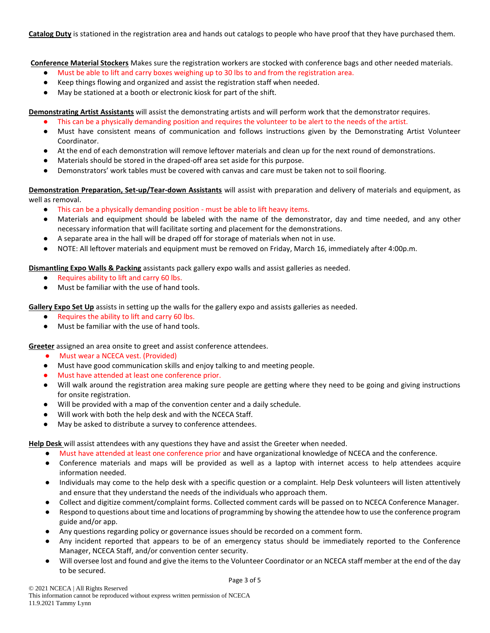**Catalog Duty** is stationed in the registration area and hands out catalogs to people who have proof that they have purchased them.

**Conference Material Stockers** Makes sure the registration workers are stocked with conference bags and other needed materials.

- Must be able to lift and carry boxes weighing up to 30 lbs to and from the registration area.
- Keep things flowing and organized and assist the registration staff when needed.
- May be stationed at a booth or electronic kiosk for part of the shift.

**Demonstrating Artist Assistants** will assist the demonstrating artists and will perform work that the demonstrator requires.

- This can be a physically demanding position and requires the volunteer to be alert to the needs of the artist.
- Must have consistent means of communication and follows instructions given by the Demonstrating Artist Volunteer Coordinator.
- At the end of each demonstration will remove leftover materials and clean up for the next round of demonstrations.
- Materials should be stored in the draped-off area set aside for this purpose.
- Demonstrators' work tables must be covered with canvas and care must be taken not to soil flooring.

**Demonstration Preparation, Set-up/Tear-down Assistants** will assist with preparation and delivery of materials and equipment, as well as removal.

- This can be a physically demanding position must be able to lift heavy items.
- Materials and equipment should be labeled with the name of the demonstrator, day and time needed, and any other necessary information that will facilitate sorting and placement for the demonstrations.
- A separate area in the hall will be draped off for storage of materials when not in use.
- NOTE: All leftover materials and equipment must be removed on Friday, March 16, immediately after 4:00p.m.

**Dismantling Expo Walls & Packing** assistants pack gallery expo walls and assist galleries as needed.

- Requires ability to lift and carry 60 lbs.
- Must be familiar with the use of hand tools.

**Gallery Expo Set Up** assists in setting up the walls for the gallery expo and assists galleries as needed.

- Requires the ability to lift and carry 60 lbs.
- Must be familiar with the use of hand tools.

**Greeter** assigned an area onsite to greet and assist conference attendees.

- Must wear a NCECA vest. (Provided)
- Must have good communication skills and enjoy talking to and meeting people.
- Must have attended at least one conference prior.
- Will walk around the registration area making sure people are getting where they need to be going and giving instructions for onsite registration.
- Will be provided with a map of the convention center and a daily schedule.
- Will work with both the help desk and with the NCECA Staff.
- May be asked to distribute a survey to conference attendees.

**Help Desk** will assist attendees with any questions they have and assist the Greeter when needed.

- Must have attended at least one conference prior and have organizational knowledge of NCECA and the conference.
- Conference materials and maps will be provided as well as a laptop with internet access to help attendees acquire information needed.
- Individuals may come to the help desk with a specific question or a complaint. Help Desk volunteers will listen attentively and ensure that they understand the needs of the individuals who approach them.
- Collect and digitize comment/complaint forms. Collected comment cards will be passed on to NCECA Conference Manager.
- Respond to questions about time and locations of programming by showing the attendee how to use the conference program guide and/or app.
- Any questions regarding policy or governance issues should be recorded on a comment form.
- Any incident reported that appears to be of an emergency status should be immediately reported to the Conference Manager, NCECA Staff, and/or convention center security.
- Will oversee lost and found and give the items to the Volunteer Coordinator or an NCECA staff member at the end of the day to be secured.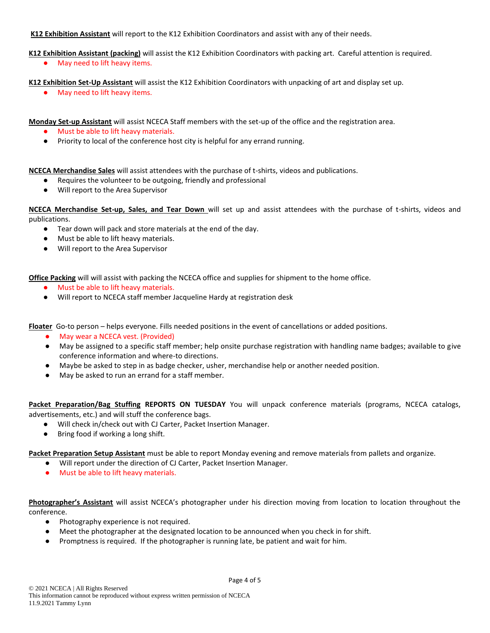# **K12 Exhibition Assistant** will report to the K12 Exhibition Coordinators and assist with any of their needs.

**K12 Exhibition Assistant (packing)** will assist the K12 Exhibition Coordinators with packing art. Careful attention is required.

● May need to lift heavy items.

**K12 Exhibition Set-Up Assistant** will assist the K12 Exhibition Coordinators with unpacking of art and display set up.

● May need to lift heavy items.

**Monday Set-up Assistant** will assist NCECA Staff members with the set-up of the office and the registration area.

- Must be able to lift heavy materials.
- Priority to local of the conference host city is helpful for any errand running.

**NCECA Merchandise Sales** will assist attendees with the purchase of t-shirts, videos and publications.

- Requires the volunteer to be outgoing, friendly and professional
- Will report to the Area Supervisor

**NCECA Merchandise Set-up, Sales, and Tear Down** will set up and assist attendees with the purchase of t-shirts, videos and publications.

- Tear down will pack and store materials at the end of the day.
- Must be able to lift heavy materials.
- Will report to the Area Supervisor

**Office Packing** will will assist with packing the NCECA office and supplies for shipment to the home office.

- Must be able to lift heavy materials.
- Will report to NCECA staff member Jacqueline Hardy at registration desk

**Floater** Go-to person – helps everyone. Fills needed positions in the event of cancellations or added positions.

- May wear a NCECA vest. (Provided)
- May be assigned to a specific staff member; help onsite purchase registration with handling name badges; available to give conference information and where-to directions.
- Maybe be asked to step in as badge checker, usher, merchandise help or another needed position.
- May be asked to run an errand for a staff member.

**Packet Preparation/Bag Stuffing REPORTS ON TUESDAY** You will unpack conference materials (programs, NCECA catalogs, advertisements, etc.) and will stuff the conference bags.

- Will check in/check out with CJ Carter, Packet Insertion Manager.
- Bring food if working a long shift.

**Packet Preparation Setup Assistant** must be able to report Monday evening and remove materials from pallets and organize.

- Will report under the direction of CJ Carter, Packet Insertion Manager.
- Must be able to lift heavy materials.

**Photographer's Assistant** will assist NCECA's photographer under his direction moving from location to location throughout the conference.

- Photography experience is not required.
- Meet the photographer at the designated location to be announced when you check in for shift.
- Promptness is required. If the photographer is running late, be patient and wait for him.